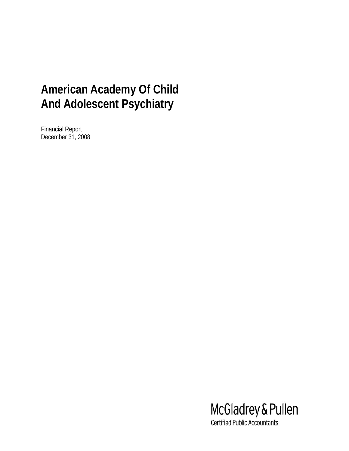Financial Report December 31, 2008



**Certified Public Accountants**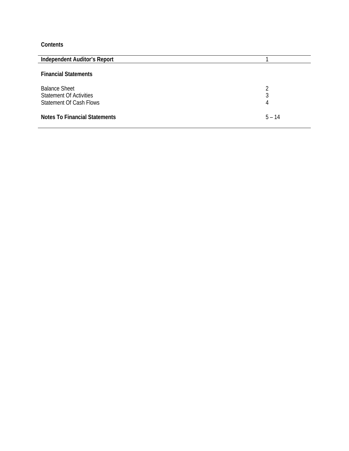**Contents** 

| <b>Independent Auditor's Report</b>                                                      |          |
|------------------------------------------------------------------------------------------|----------|
| <b>Financial Statements</b>                                                              |          |
| <b>Balance Sheet</b><br><b>Statement Of Activities</b><br><b>Statement Of Cash Flows</b> | 3<br>4   |
| <b>Notes To Financial Statements</b>                                                     | $5 - 14$ |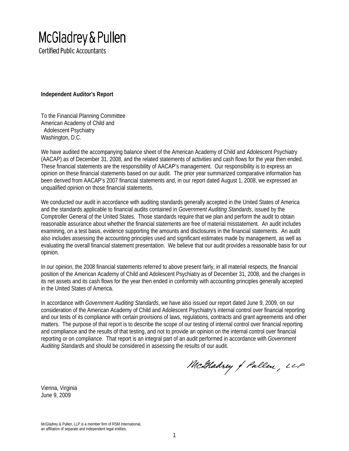# McGladrey & Pullen

**Certified Public Accountants** 

**Independent Auditor's Report** 

To the Financial Planning Committee American Academy of Child and Adolescent Psychiatry Washington, D.C.

We have audited the accompanying balance sheet of the American Academy of Child and Adolescent Psychiatry (AACAP) as of December 31, 2008, and the related statements of activities and cash flows for the year then ended. These financial statements are the responsibility of AACAP's management. Our responsibility is to express an opinion on these financial statements based on our audit. The prior year summarized comparative information has been derived from AACAP's 2007 financial statements and, in our report dated August 1, 2008, we expressed an unqualified opinion on those financial statements.

We conducted our audit in accordance with auditing standards generally accepted in the United States of America and the standards applicable to financial audits contained in *Government Auditing Standards*, issued by the Comptroller General of the United States. Those standards require that we plan and perform the audit to obtain reasonable assurance about whether the financial statements are free of material misstatement. An audit includes examining, on a test basis, evidence supporting the amounts and disclosures in the financial statements. An audit also includes assessing the accounting principles used and significant estimates made by management, as well as evaluating the overall financial statement presentation. We believe that our audit provides a reasonable basis for our opinion.

In our opinion, the 2008 financial statements referred to above present fairly, in all material respects, the financial position of the American Academy of Child and Adolescent Psychiatry as of December 31, 2008, and the changes in its net assets and its cash flows for the year then ended in conformity with accounting principles generally accepted in the United States of America.

In accordance with *Government Auditing Standards*, we have also issued our report dated June 9, 2009, on our consideration of the American Academy of Child and Adolescent Psychiatry's internal control over financial reporting and our tests of its compliance with certain provisions of laws, regulations, contracts and grant agreements and other matters. The purpose of that report is to describe the scope of our testing of internal control over financial reporting and compliance and the results of that testing, and not to provide an opinion on the internal control over financial reporting or on compliance. That report is an integral part of an audit performed in accordance with *Government Auditing Standards* and should be considered in assessing the results of our audit.

McHadrey of Pallen, LLP

Vienna, Virginia June 9, 2009

McGladrey & Pullen, LLP is a member firm of RSM International, an affiliation of separate and independent legal entities.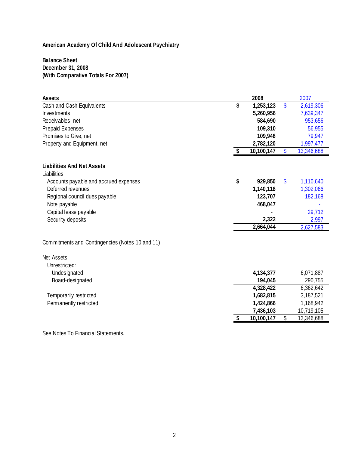**Balance Sheet December 31, 2008 (With Comparative Totals For 2007)**

| Assets                                          | 2008            | 2007             |
|-------------------------------------------------|-----------------|------------------|
| Cash and Cash Equivalents                       | \$<br>1,253,123 | \$<br>2,619,306  |
| Investments                                     | 5,260,956       | 7,639,347        |
| Receivables, net                                | 584,690         | 953,656          |
| Prepaid Expenses                                | 109,310         | 56,955           |
| Promises to Give, net                           | 109,948         | 79,947           |
| Property and Equipment, net                     | 2,782,120       | 1,997,477        |
|                                                 | 10,100,147      | \$<br>13,346,688 |
| <b>Liabilities And Net Assets</b>               |                 |                  |
| Liabilities                                     |                 |                  |
| Accounts payable and accrued expenses           | \$<br>929,850   | \$<br>1,110,640  |
| Deferred revenues                               | 1,140,118       | 1,302,066        |
| Regional council dues payable                   | 123,707         | 182,168          |
| Note payable                                    | 468,047         |                  |
| Capital lease payable                           |                 | 29,712           |
| Security deposits                               | 2,322           | 2,997            |
|                                                 | 2,664,044       | 2,627,583        |
| Commitments and Contingencies (Notes 10 and 11) |                 |                  |
| Net Assets                                      |                 |                  |
| Unrestricted:                                   |                 |                  |
| Undesignated                                    | 4,134,377       | 6,071,887        |
| Board-designated                                | 194,045         | 290,755          |
|                                                 | 4,328,422       | 6,362,642        |
| Temporarily restricted                          | 1,682,815       | 3,187,521        |
| Permanently restricted                          | 1,424,866       | 1,168,942        |
|                                                 | 7,436,103       | 10,719,105       |
|                                                 | 10,100,147      | \$<br>13,346,688 |
|                                                 |                 |                  |

See Notes To Financial Statements.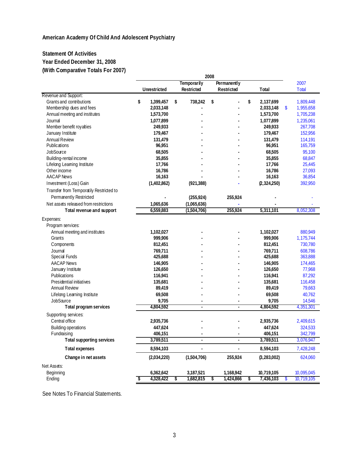## **Statement Of Activities Year Ended December 31, 2008 (With Comparative Totals For 2007)**

|                                           |                     |                    | 2008            |                 |               |               |
|-------------------------------------------|---------------------|--------------------|-----------------|-----------------|---------------|---------------|
|                                           |                     | <b>Temporarily</b> | Permanently     |                 |               | 2007          |
|                                           | <b>Unrestricted</b> | Restricted         | Restricted      | Total           |               | <b>T</b> otal |
| Revenue and Support:                      |                     |                    |                 |                 |               |               |
| Grants and contributions                  | \$<br>1,399,457     | \$<br>738,242      | \$              | \$<br>2,137,699 |               | 1,809,448     |
| Membership dues and fees                  | 2,033,148           |                    |                 | 2,033,148       | \$            | 1,955,658     |
| Annual meeting and institutes             | 1,573,700           |                    |                 | 1,573,700       |               | 1,705,238     |
| Journal                                   | 1,077,899           |                    |                 | 1,077,899       |               | 1,235,061     |
| Member benefit royalties                  | 249,933             |                    |                 | 249,933         |               | 267,708       |
| January Institute                         | 179,467             |                    |                 | 179,467         |               | 152,956       |
| <b>Annual Review</b>                      | 131,479             |                    |                 | 131,479         |               | 114,191       |
| Publications                              | 96,951              |                    |                 | 96,951          |               | 165,759       |
| JobSource                                 | 68,505              |                    |                 | 68,505          |               | 95,100        |
| Building-rental income                    | 35,855              |                    |                 | 35,855          |               | 68,847        |
| Lifelong Leaming Institute                | 17,766              |                    |                 | 17,766          |               | 25,445        |
| Other income                              | 16,786              |                    |                 | 16,786          |               | 27,093        |
| <b>AACAP News</b>                         | 16,163              |                    |                 | 16,163          |               | 36,854        |
| Investment (Loss) Gain                    | (1,402,862)         | (921, 388)         |                 | (2, 324, 250)   |               | 392,950       |
| Transfer from Temporatily Restricted to   |                     |                    |                 |                 |               |               |
| Permanently Restricted                    |                     | (255, 924)         | 255,924         |                 |               |               |
| Net assets released from restrictions     | 1,065,636           | (1,065,636)        |                 |                 |               |               |
|                                           | 6,559,883           | (1,504,706)        | 255,924         | 5,311,101       |               | 8,052,308     |
| Total revenue and support                 |                     |                    |                 |                 |               |               |
| Expenses:                                 |                     |                    |                 |                 |               |               |
| Program services:                         |                     |                    |                 |                 |               |               |
| Annual meeting and institutes             | 1,102,027           |                    |                 | 1,102,027       |               | 880,949       |
| Grants                                    | 999,906             |                    |                 | 999,906         |               | 1,175,744     |
| Components                                | 812,451             |                    |                 | 812,451         |               | 730,780       |
| Journal                                   | 769,711             |                    |                 | 769,711         |               | 608,786       |
| Special Funds                             | 425,688             |                    |                 | 425,688         |               | 363,888       |
| <b>AACAP News</b>                         | 146,905             |                    |                 | 146,905         |               | 174,465       |
| January Institute                         | 126,650             |                    |                 | 126,650         |               | 77,968        |
| Publications                              | 116,941             |                    |                 | 116,941         |               | 87,292        |
| Presidential initiatives                  | 135,681             |                    |                 | 135,681         |               | 116,458       |
| <b>Annual Review</b>                      | 89,419              |                    |                 | 89,419          |               | 79,663        |
| Lifelong Learning Institute               | 69,508              |                    |                 | 69,508          |               | 40,762        |
| JobSource                                 | 9,705               |                    |                 | 9,705           |               | 14,546        |
| Total program services                    | 4,804,592           | $\overline{a}$     | $\overline{a}$  | 4,804,592       |               | 4,351,301     |
| Supporting services:                      |                     |                    |                 |                 |               |               |
| Central office                            | 2,935,736           |                    |                 | 2,935,736       |               | 2,409,615     |
|                                           | 447,624             |                    |                 | 447,624         |               | 324,533       |
| <b>Building operations</b><br>Fundraising | 406,151             |                    | $\blacksquare$  | 406,151         |               | 342,799       |
| Total supporting services                 | 3,789,511           | $\blacksquare$     |                 | 3,789,511       |               | 3,076,947     |
|                                           |                     |                    |                 |                 |               |               |
| <b>Total expenses</b>                     | 8,594,103           |                    |                 | 8,594,103       |               | 7,428,248     |
| Change in net assets                      | (2,034,220)         | (1,504,706)        | 255,924         | (3,283,002)     |               | 624,060       |
| Net Assets:                               |                     |                    |                 |                 |               |               |
| Beginning                                 | 6,362,642           | 3,187,521          | 1,168,942       | 10,719,105      |               | 10,095,045    |
| Ending                                    | -\$<br>4,328,422    | \$<br>1,682,815    | 1,424,866<br>\$ | \$<br>7,436,103 | <sup>\$</sup> | 10,719,105    |

See Notes To Financial Statements.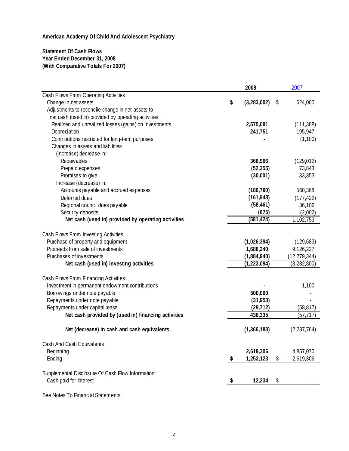**Statement Of Cash Flows Year Ended December 31, 2008 (With Comparative Totals For 2007)**

|                                                                             | 2008              |    | 2007           |
|-----------------------------------------------------------------------------|-------------------|----|----------------|
| Cash Flows From Operating Activities                                        |                   |    |                |
| Change in net assets                                                        | \$<br>(3,283,002) | \$ | 624,060        |
| Adjustments to reconcile change in net assets to                            |                   |    |                |
| net cash (used in) provided by operating activities:                        |                   |    |                |
| Realized and unrealized losses (gains) on investments                       | 2,575,091         |    | (111, 388)     |
| Depreciation                                                                | 241,751           |    | 195,947        |
| Contributions restricted for long-term purposes                             |                   |    | (1,100)        |
| Changes in assets and liabilities:                                          |                   |    |                |
| (Increase) decrease in:                                                     |                   |    |                |
| Receivables                                                                 | 368,966           |    | (129, 012)     |
| Prepaid expenses                                                            | (52, 355)         |    | 73,843         |
| Promises to give                                                            | (30,001)          |    | 33,353         |
| Increase (decrease) in:                                                     |                   |    |                |
| Accounts payable and accrued expenses                                       | (180, 790)        |    | 560,368        |
| Deferred dues                                                               | (161, 948)        |    | (177, 422)     |
| Regional council dues payable                                               | (58, 461)         |    | 36,106         |
| Security deposits                                                           | (675)             |    | (2,002)        |
| Net cash (used in) provided by operating activities                         | (581, 424)        |    | 1,102,753      |
| Cash Flows From Investing Activities                                        |                   |    |                |
| Purchase of property and equipment                                          | (1,026,394)       |    | (129, 683)     |
| Proceeds from sale of investments                                           | 1,688,240         |    | 9,126,227      |
| Purchases of investments                                                    | (1,884,940)       |    | (12, 279, 344) |
| Net cash (used in) investing activities                                     | (1,223,094)       |    | (3,282,800)    |
|                                                                             |                   |    |                |
| Cash Flows From Financing Activities                                        |                   |    |                |
| Investment in permanent endowment contributions                             |                   |    | 1,100          |
| Borrowings under note payable                                               | 500,000           |    |                |
| Repayments under note payable                                               | (31, 953)         |    |                |
| Repayments under capital lease                                              | (29, 712)         |    | (58, 817)      |
| Net cash provided by (used in) financing activities                         | 438,335           |    | (57, 717)      |
| Net (decrease) in cash and cash equivalents                                 | (1,366,183)       |    | (2, 237, 764)  |
| Cash And Cash Equivalents                                                   |                   |    |                |
| Beginning                                                                   | 2,619,306         |    | 4,857,070      |
| Ending                                                                      | \$<br>1,253,123   | \$ | 2,619,306      |
|                                                                             |                   |    |                |
| Supplemental Disclosure Of Cash Flow Information:<br>Cash paid for interest | 12,234            | S  |                |
|                                                                             |                   |    |                |
| See Notes To Financial Statements.                                          |                   |    |                |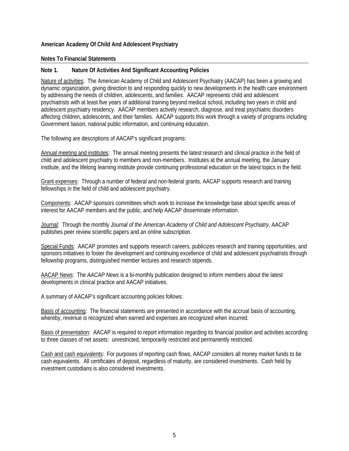#### **Notes To Financial Statements**

## **Note 1. Nature Of Activities And Significant Accounting Policies**

Nature of activities: The American Academy of Child and Adolescent Psychiatry (AACAP) has been a growing and dynamic organization, giving direction to and responding quickly to new developments in the health care environment by addressing the needs of children, adolescents, and families. AACAP represents child and adolescent psychiatrists with at least five years of additional training beyond medical school, including two years in child and adolescent psychiatry residency. AACAP members actively research, diagnose, and treat psychiatric disorders affecting children, adolescents, and their families. AACAP supports this work through a variety of programs including Government liaison, national public information, and continuing education.

The following are descriptions of AACAP's significant programs:

Annual meeting and institutes: The annual meeting presents the latest research and clinical practice in the field of child and adolescent psychiatry to members and non-members. Institutes at the annual meeting, the January institute, and the lifelong learning institute provide continuing professional education on the latest topics in the field.

Grant expenses: Through a number of federal and non-federal grants, AACAP supports research and training fellowships in the field of child and adolescent psychiatry.

Components: AACAP sponsors committees which work to increase the knowledge base about specific areas of interest for AACAP members and the public, and help AACAP disseminate information.

Journal: Through the monthly *Journal of the American Academy of Child and Adolescent Psychiatry*, AACAP publishes peer review scientific papers and an online subscription.

Special Funds: AACAP promotes and supports research careers, publicizes research and training opportunities, and sponsors initiatives to foster the development and continuing excellence of child and adolescent psychiatrists through fellowship programs, distinguished member lectures and research stipends.

AACAP News: The *AACAP News* is a bi-monthly publication designed to inform members about the latest developments in clinical practice and AACAP initiatives.

A summary of AACAP's significant accounting policies follows:

Basis of accounting: The financial statements are presented in accordance with the accrual basis of accounting, whereby, revenue is recognized when earned and expenses are recognized when incurred.

Basis of presentation: AACAP is required to report information regarding its financial position and activities according to three classes of net assets: unrestricted, temporarily restricted and permanently restricted.

Cash and cash equivalents: For purposes of reporting cash flows, AACAP considers all money market funds to be cash equivalents. All certificates of deposit, regardless of maturity, are considered investments. Cash held by investment custodians is also considered investments.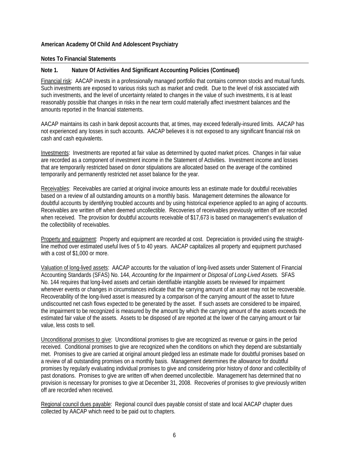#### **Notes To Financial Statements**

## **Note 1. Nature Of Activities And Significant Accounting Policies (Continued)**

Financial risk: AACAP invests in a professionally managed portfolio that contains common stocks and mutual funds. Such investments are exposed to various risks such as market and credit. Due to the level of risk associated with such investments, and the level of uncertainty related to changes in the value of such investments, it is at least reasonably possible that changes in risks in the near term could materially affect investment balances and the amounts reported in the financial statements.

AACAP maintains its cash in bank deposit accounts that, at times, may exceed federally-insured limits. AACAP has not experienced any losses in such accounts. AACAP believes it is not exposed to any significant financial risk on cash and cash equivalents.

Investments: Investments are reported at fair value as determined by quoted market prices. Changes in fair value are recorded as a component of investment income in the Statement of Activities. Investment income and losses that are temporarily restricted based on donor stipulations are allocated based on the average of the combined temporarily and permanently restricted net asset balance for the year.

Receivables: Receivables are carried at original invoice amounts less an estimate made for doubtful receivables based on a review of all outstanding amounts on a monthly basis. Management determines the allowance for doubtful accounts by identifying troubled accounts and by using historical experience applied to an aging of accounts. Receivables are written off when deemed uncollectible. Recoveries of receivables previously written off are recorded when received. The provision for doubtful accounts receivable of \$17,673 is based on management's evaluation of the collectibility of receivables.

Property and equipment: Property and equipment are recorded at cost. Depreciation is provided using the straightline method over estimated useful lives of 5 to 40 years. AACAP capitalizes all property and equipment purchased with a cost of \$1,000 or more.

Valuation of long-lived assets: AACAP accounts for the valuation of long-lived assets under Statement of Financial Accounting Standards (SFAS) No. 144, *Accounting for the Impairment or Disposal of Long-Lived Assets.* SFAS No. 144 requires that long-lived assets and certain identifiable intangible assets be reviewed for impairment whenever events or changes in circumstances indicate that the carrying amount of an asset may not be recoverable. Recoverability of the long-lived asset is measured by a comparison of the carrying amount of the asset to future undiscounted net cash flows expected to be generated by the asset. If such assets are considered to be impaired, the impairment to be recognized is measured by the amount by which the carrying amount of the assets exceeds the estimated fair value of the assets. Assets to be disposed of are reported at the lower of the carrying amount or fair value, less costs to sell.

Unconditional promises to give: Unconditional promises to give are recognized as revenue or gains in the period received. Conditional promises to give are recognized when the conditions on which they depend are substantially met. Promises to give are carried at original amount pledged less an estimate made for doubtful promises based on a review of all outstanding promises on a monthly basis. Management determines the allowance for doubtful promises by regularly evaluating individual promises to give and considering prior history of donor and collectibility of past donations. Promises to give are written off when deemed uncollectible. Management has determined that no provision is necessary for promises to give at December 31, 2008. Recoveries of promises to give previously written off are recorded when received.

Regional council dues payable: Regional council dues payable consist of state and local AACAP chapter dues collected by AACAP which need to be paid out to chapters.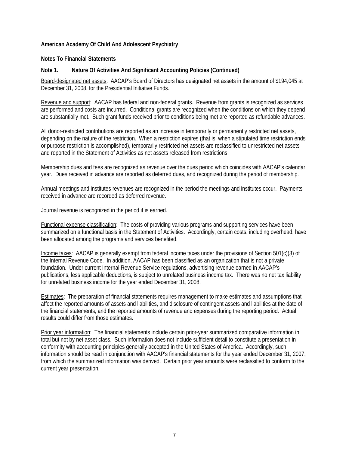#### **Notes To Financial Statements**

## **Note 1. Nature Of Activities And Significant Accounting Policies (Continued)**

Board-designated net assets: AACAP's Board of Directors has designated net assets in the amount of \$194,045 at December 31, 2008, for the Presidential Initiative Funds.

Revenue and support: AACAP has federal and non-federal grants. Revenue from grants is recognized as services are performed and costs are incurred. Conditional grants are recognized when the conditions on which they depend are substantially met. Such grant funds received prior to conditions being met are reported as refundable advances.

All donor-restricted contributions are reported as an increase in temporarily or permanently restricted net assets, depending on the nature of the restriction. When a restriction expires (that is, when a stipulated time restriction ends or purpose restriction is accomplished), temporarily restricted net assets are reclassified to unrestricted net assets and reported in the Statement of Activities as net assets released from restrictions.

Membership dues and fees are recognized as revenue over the dues period which coincides with AACAP's calendar year. Dues received in advance are reported as deferred dues, and recognized during the period of membership.

Annual meetings and institutes revenues are recognized in the period the meetings and institutes occur. Payments received in advance are recorded as deferred revenue.

Journal revenue is recognized in the period it is earned.

Functional expense classification: The costs of providing various programs and supporting services have been summarized on a functional basis in the Statement of Activities. Accordingly, certain costs, including overhead, have been allocated among the programs and services benefited.

Income taxes: AACAP is generally exempt from federal income taxes under the provisions of Section 501(c)(3) of the Internal Revenue Code. In addition, AACAP has been classified as an organization that is not a private foundation. Under current Internal Revenue Service regulations, advertising revenue earned in AACAP's publications, less applicable deductions, is subject to unrelated business income tax. There was no net tax liability for unrelated business income for the year ended December 31, 2008.

Estimates: The preparation of financial statements requires management to make estimates and assumptions that affect the reported amounts of assets and liabilities, and disclosure of contingent assets and liabilities at the date of the financial statements, and the reported amounts of revenue and expenses during the reporting period. Actual results could differ from those estimates.

Prior year information: The financial statements include certain prior-year summarized comparative information in total but not by net asset class. Such information does not include sufficient detail to constitute a presentation in conformity with accounting principles generally accepted in the United States of America. Accordingly, such information should be read in conjunction with AACAP's financial statements for the year ended December 31, 2007, from which the summarized information was derived. Certain prior year amounts were reclassified to conform to the current year presentation.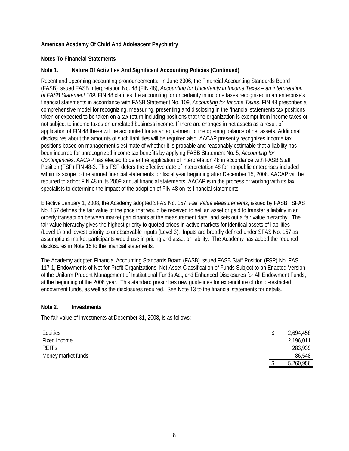#### **Notes To Financial Statements**

## **Note 1. Nature Of Activities And Significant Accounting Policies (Continued)**

Recent and upcoming accounting pronouncements: In June 2006, the Financial Accounting Standards Board (FASB) issued FASB Interpretation No. 48 (FIN 48), *Accounting for Uncertainty in Income Taxes – an interpretation of FASB Statement 109*. FIN 48 clarifies the accounting for uncertainty in income taxes recognized in an enterprise's financial statements in accordance with FASB Statement No. 109, *Accounting for Income Taxes*. FIN 48 prescribes a comprehensive model for recognizing, measuring, presenting and disclosing in the financial statements tax positions taken or expected to be taken on a tax return including positions that the organization is exempt from income taxes or not subject to income taxes on unrelated business income. If there are changes in net assets as a result of application of FIN 48 these will be accounted for as an adjustment to the opening balance of net assets. Additional disclosures about the amounts of such liabilities will be required also. AACAP presently recognizes income tax positions based on management's estimate of whether it is probable and reasonably estimable that a liability has been incurred for unrecognized income tax benefits by applying FASB Statement No. 5, *Accounting for Contingencies*. AACAP has elected to defer the application of Interpretation 48 in accordance with FASB Staff Position (FSP) FIN 48-3. This FSP defers the effective date of Interpretation 48 for nonpublic enterprises included within its scope to the annual financial statements for fiscal year beginning after December 15, 2008. AACAP will be required to adopt FIN 48 in its 2009 annual financial statements. AACAP is in the process of working with its tax specialists to determine the impact of the adoption of FIN 48 on its financial statements.

Effective January 1, 2008, the Academy adopted SFAS No. 157, *Fair Value Measurements,* issued by FASB. SFAS No. 157 defines the fair value of the price that would be received to sell an asset or paid to transfer a liability in an orderly transaction between market participants at the measurement date, and sets out a fair value hierarchy. The fair value hierarchy gives the highest priority to quoted prices in active markets for identical assets of liabilities (Level 1) and lowest priority to unobservable inputs (Level 3). Inputs are broadly defined under SFAS No. 157 as assumptions market participants would use in pricing and asset or liability. The Academy has added the required disclosures in Note 15 to the financial statements.

The Academy adopted Financial Accounting Standards Board (FASB) issued FASB Staff Position (FSP) No. FAS 117-1, Endowments of Not-for-Profit Organizations: Net Asset Classification of Funds Subject to an Enacted Version of the Uniform Prudent Management of Institutional Funds Act, and Enhanced Disclosures for All Endowment Funds, at the beginning of the 2008 year. This standard prescribes new guidelines for expenditure of donor-restricted endowment funds, as well as the disclosures required. See Note 13 to the financial statements for details.

#### **Note 2. Investments**

The fair value of investments at December 31, 2008, is as follows:

| Equities           | 2,694,458 |
|--------------------|-----------|
| Fixed income       | 2,196,011 |
| <b>REIT's</b>      | 283,939   |
| Money market funds | 86,548    |
|                    | 5,260,956 |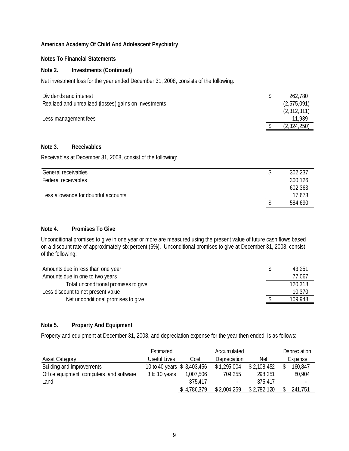#### **Notes To Financial Statements**

#### **Note 2. Investments (Continued)**

Net investment loss for the year ended December 31, 2008, consists of the following:

| Dividends and interest                                | 262,780     |
|-------------------------------------------------------|-------------|
| Realized and unrealized (losses) gains on investments | (2,575,091) |
|                                                       | (2,312,311) |
| Less management fees                                  | 11.939      |
|                                                       | (2,324,250) |

#### **Note 3. Receivables**

Receivables at December 31, 2008, consist of the following:

| General receivables                  | 302,237 |
|--------------------------------------|---------|
| Federal receivables                  | 300,126 |
|                                      | 602,363 |
| Less allowance for doubtful accounts | 17,673  |
|                                      | 584,690 |
|                                      |         |

#### **Note 4. Promises To Give**

Unconditional promises to give in one year or more are measured using the present value of future cash flows based on a discount rate of approximately six percent (6%). Unconditional promises to give at December 31, 2008, consist of the following:

| Amounts due in less than one year    | 43,251  |
|--------------------------------------|---------|
| Amounts due in one to two years      | 77,067  |
| Total unconditional promises to give | 120,318 |
| Less discount to net present value   | 10,370  |
| Net unconditional promises to give   | 109,948 |

#### **Note 5. Property And Equipment**

Property and equipment at December 31, 2008, and depreciation expense for the year then ended, is as follows:

|                                           | Estimated                  |             | Accumulated  |             | Depreciation |
|-------------------------------------------|----------------------------|-------------|--------------|-------------|--------------|
| <b>Asset Category</b>                     | Useful Lives               | Cost        | Depreciation | Net         | Expense      |
| Building and improvements                 | 10 to 40 years \$3,403,456 |             | \$1,295,004  | \$2,108,452 | 160,847      |
| Office equipment, computers, and software | 3 to 10 years              | 1,007,506   | 709.255      | 298,251     | 80,904       |
| Land                                      |                            | 375,417     | $\sim$       | 375.417     |              |
|                                           |                            | \$4,786,379 | \$2,004,259  | \$2,782,120 | 241,751      |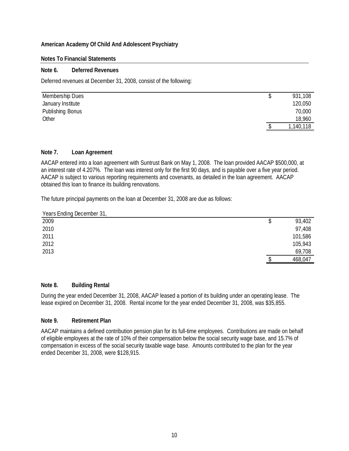#### **Notes To Financial Statements**

#### **Note 6. Deferred Revenues**

Deferred revenues at December 31, 2008, consist of the following:

| Membership Dues   |  | 931,108   |
|-------------------|--|-----------|
| January Institute |  | 120,050   |
| Publishing Bonus  |  | 70,000    |
| Other             |  | 18,960    |
|                   |  | 1,140,118 |

## **Note 7. Loan Agreement**

AACAP entered into a loan agreement with Suntrust Bank on May 1, 2008. The loan provided AACAP \$500,000, at an interest rate of 4.207%. The loan was interest only for the first 90 days, and is payable over a five year period. AACAP is subject to various reporting requirements and covenants, as detailed in the loan agreement. AACAP obtained this loan to finance its building renovations.

The future principal payments on the loan at December 31, 2008 are due as follows:

Years Ending December 31,

| $\sim$ $\sim$ |             |
|---------------|-------------|
| 2009          | 93,402<br>J |
| 2010          | 97,408      |
| 2011          | 101,586     |
| 2012          | 105,943     |
| 2013          | 69,708      |
|               | 468,047     |
|               |             |

## **Note 8. Building Rental**

During the year ended December 31, 2008, AACAP leased a portion of its building under an operating lease. The lease expired on December 31, 2008. Rental income for the year ended December 31, 2008, was \$35,855.

#### **Note 9. Retirement Plan**

AACAP maintains a defined contribution pension plan for its full-time employees. Contributions are made on behalf of eligible employees at the rate of 10% of their compensation below the social security wage base, and 15.7% of compensation in excess of the social security taxable wage base. Amounts contributed to the plan for the year ended December 31, 2008, were \$128,915.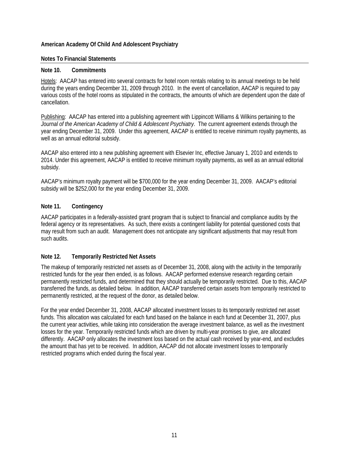#### **Notes To Financial Statements**

## **Note 10. Commitments**

Hotels: AACAP has entered into several contracts for hotel room rentals relating to its annual meetings to be held during the years ending December 31, 2009 through 2010. In the event of cancellation, AACAP is required to pay various costs of the hotel rooms as stipulated in the contracts, the amounts of which are dependent upon the date of cancellation.

Publishing: AACAP has entered into a publishing agreement with Lippincott Williams & Wilkins pertaining to the *Journal of the American Academy of Child & Adolescent Psychiatry*. The current agreement extends through the year ending December 31, 2009. Under this agreement, AACAP is entitled to receive minimum royalty payments, as well as an annual editorial subsidy.

AACAP also entered into a new publishing agreement with Elsevier Inc, effective January 1, 2010 and extends to 2014. Under this agreement, AACAP is entitled to receive minimum royalty payments, as well as an annual editorial subsidy.

AACAP's minimum royalty payment will be \$700,000 for the year ending December 31, 2009. AACAP's editorial subsidy will be \$252,000 for the year ending December 31, 2009.

## **Note 11. Contingency**

AACAP participates in a federally-assisted grant program that is subject to financial and compliance audits by the federal agency or its representatives. As such, there exists a contingent liability for potential questioned costs that may result from such an audit. Management does not anticipate any significant adjustments that may result from such audits.

## **Note 12. Temporarily Restricted Net Assets**

The makeup of temporarily restricted net assets as of December 31, 2008, along with the activity in the temporarily restricted funds for the year then ended, is as follows. AACAP performed extensive research regarding certain permanently restricted funds, and determined that they should actually be temporarily restricted. Due to this, AACAP transferred the funds, as detailed below. In addition, AACAP transferred certain assets from temporarily restricted to permanently restricted, at the request of the donor, as detailed below.

For the year ended December 31, 2008, AACAP allocated investment losses to its temporarily restricted net asset funds. This allocation was calculated for each fund based on the balance in each fund at December 31, 2007, plus the current year activities, while taking into consideration the average investment balance, as well as the investment losses for the year. Temporarily restricted funds which are driven by multi-year promises to give, are allocated differently. AACAP only allocates the investment loss based on the actual cash received by year-end, and excludes the amount that has yet to be received. In addition, AACAP did not allocate investment losses to temporarily restricted programs which ended during the fiscal year.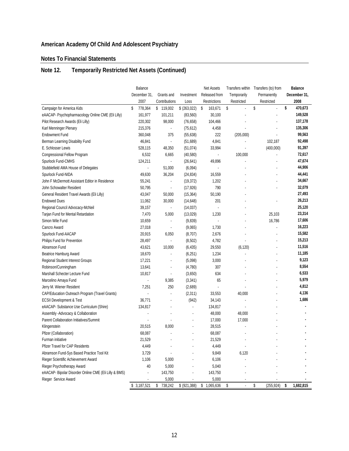# **Notes To Financial Statements**

# **Note 12. Temporarily Restricted Net Assets (Continued)**

|                                                       | Balance       |                          |               | Net Assets               |             | Transfers within Transfers (to) from | Balance          |
|-------------------------------------------------------|---------------|--------------------------|---------------|--------------------------|-------------|--------------------------------------|------------------|
|                                                       | December 31,  | Grants and               | Investment    | Released from            | Temporarily | Permanently                          | December 31,     |
|                                                       | 2007          | Contributions            | Loss          | Restrictions             | Restricted  | Restricted                           | 2008             |
| Campaign for America Kids                             | \$<br>778,364 | \$119,002                | \$ (263,022)  | \$<br>163,671            | \$<br>÷,    | $\mathbb S$<br>ä,                    | \$<br>470,673    |
| eAACAP- Psychopharmacology Online CME (Eli Lilly)     | 161,977       | 101,211                  | (83, 560)     | 30,100                   |             |                                      | 149,528          |
| Pilot Research Awards (Eli Lilly)                     | 220,302       | 98,000                   | (76, 658)     | 104,466                  |             |                                      | 137,178          |
| Karl Menninger Plenary                                | 215,376       |                          | (75, 612)     | 4,458                    |             |                                      | 135,306          |
| <b>Endowment Fund</b>                                 | 360,048       | 375                      | (55, 638)     | 222                      | (205,000)   |                                      | 99,563           |
| Berman Learning Disability Fund                       | 46,841        | $\overline{\phantom{a}}$ | (51,689)      | 4,841                    |             | 102,187                              | 92,498           |
| E. Schlosser Lewis                                    | 528,115       | 48,350                   | (51, 074)     | 33,994                   |             | (400,000)                            | 91,397           |
| Congressional Fellow Program                          | 6,532         | 6,665                    | (40, 580)     | $\overline{\phantom{a}}$ | 100,000     |                                      | 72,617           |
| Spurlock Fund-CMHS                                    | 124,211       | $\blacksquare$           | (26, 641)     | 49,896                   |             |                                      | 47,674           |
| Stubblefield AMA House of Delegates                   | i,            | 51,000                   | (6,094)       |                          |             |                                      | 44,906           |
| Spurlock Fund-NIDA                                    | 49,630        | 36,204                   | (24, 834)     | 16,559                   |             |                                      | 44,441           |
| John F McDermott Assistant Editor in Residence        | 55,241        |                          | (19, 372)     | 1,202                    |             |                                      | 34,667           |
| John Schowalter Resident                              | 50,795        | ×,                       | (17, 926)     | 790                      |             |                                      | 32,079           |
| General Resident Travel Awards (Eli Lilly)            | 43,047        | 50,000                   | (15, 364)     | 50,190                   |             |                                      | 27,493           |
| <b>Endowed Dues</b>                                   | 11,062        | 30,000                   | (14,648)      | 201                      |             |                                      | 26,213           |
| Regional Council Advocacy-McNeil                      | 39,157        | $\blacksquare$           | (14, 037)     | ×,                       |             |                                      | 25,120           |
| Tarjan Fund for Mental Retardation                    | 7,470         | 5,000                    | (13,029)      | 1,230                    |             | 25,103                               | 23,314           |
| Simon Wile Fund                                       | 10,659        |                          | (9,839)       | $\blacksquare$           |             | 16,786                               | 17,606           |
| Cancro Award                                          | 27,018        |                          | (9,065)       | 1,730                    |             |                                      | 16,223           |
| Spurlock Fund-AACAP                                   | 20,915        | 6,050                    | (8,707)       | 2,676                    |             |                                      | 15,582           |
| Philips Fund for Prevention                           | 28,497        |                          | (8,502)       | 4,782                    |             |                                      | 15,213           |
| Abramson Fund                                         | 43,621        | 10,000                   | (6, 435)      | 29,550                   | (6, 120)    |                                      | 11,516           |
| Beatrice Hamburg Award                                | 18,670        |                          | (6,251)       | 1,234                    |             |                                      | 11,185           |
| Regional Student Interest Groups                      | 17,221        |                          | (5,098)       | 3,000                    |             |                                      | 9,123            |
| Robinson/Cunningham                                   | 13,641        |                          | (4,780)       | 307                      |             |                                      | 8,554            |
| Marshall Schecter Lecture Fund                        | 10,817        |                          | (3,650)       | 634                      |             |                                      | 6,533            |
| Marcelino Amaya Fund                                  |               | 9,385                    | (3, 341)      | 65                       |             |                                      | 5,979            |
| Jerry M. Wiener Resident                              | 7,251         | 250                      | (2,689)       |                          |             |                                      | 4,812            |
| CAP/Education Outreach Program (Travel Grants)        | L.            |                          | (2, 311)      | 33,553                   | 40,000      |                                      | 4,136            |
| <b>ECSII Development &amp; Test</b>                   | 36,771        |                          | (942)         | 34,143                   |             |                                      | 1,686            |
| eAACAP- Substance Use Curriculum (Shire)              | 134,817       |                          |               | 134,817                  |             |                                      |                  |
| Assembly -Advocacy & Collaboration                    |               |                          |               | 48,000                   | 48,000      |                                      |                  |
| Parent Collaboration Initiatives/Summit               |               |                          |               | 17,000                   | 17,000      |                                      |                  |
| Klingenstein                                          | 20,515        | 8,000                    |               | 28,515                   |             |                                      |                  |
| Pfizer (Collaboration)                                | 68,087        |                          |               | 68,087                   |             |                                      |                  |
| Furman initiative                                     | 21,529        |                          |               | 21,529                   |             |                                      |                  |
| Pfizer Travel for CAP Residents                       | 4,449         |                          |               | 4,449                    |             |                                      |                  |
| Abramson Fund-Sys Based Practice Tool Kit             | 3,729         |                          |               | 9,849                    | 6,120       |                                      |                  |
| Rieger Scientific Achievement Award                   | 1,106         | 5,000                    |               | 6,106                    |             |                                      |                  |
| Rieger Psychotherapy Award                            | 40            | 5,000                    |               | 5,040                    |             |                                      |                  |
| eAACAP- Bipolar Disorder Online CME (Eli Lilly & BMS) |               | 143,750                  |               | 143,750                  |             |                                      |                  |
| Rieger Service Award                                  |               | 5,000                    |               | 5,000                    |             |                                      |                  |
|                                                       | \$3,187,521   | 738,242<br>\$            | \$ (921, 388) | \$1,065,636              | \$          | (255, 924)<br>\$                     | 1,682,815<br>-\$ |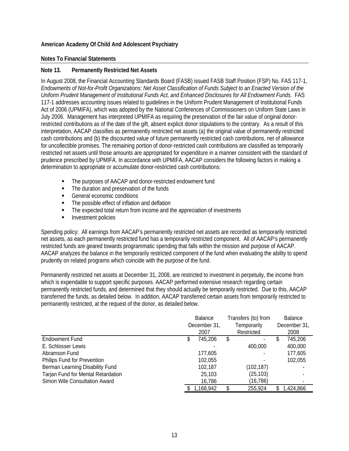#### **Notes To Financial Statements**

## **Note 13. Permanently Restricted Net Assets**

In August 2008, the Financial Accounting Standards Board (FASB) issued FASB Staff Position (FSP) No. FAS 117-1, *Endowments of Not-for-Profit Organizations: Net Asset Classification of Funds Subject to an Enacted Version of the Uniform Prudent Management of Institutional Funds Act, and Enhanced Disclosures for All Endowment Funds*. FAS 117-1 addresses accounting issues related to guidelines in the Uniform Prudent Management of Institutional Funds Act of 2006 (UPMIFA), which was adopted by the National Conferences of Commissioners on Uniform State Laws in July 2006. Management has interpreted UPMIFA as requiring the preservation of the fair value of original donorrestricted contributions as of the date of the gift, absent explicit donor stipulations to the contrary. As a result of this interpretation, AACAP classifies as permanently restricted net assets (a) the original value of permanently restricted cash contributions and (b) the discounted value of future permanently restricted cash contributions, net of allowance for uncollectible promises. The remaining portion of donor-restricted cash contributions are classified as temporarily restricted net assets until those amounts are appropriated for expenditure in a manner consistent with the standard of prudence prescribed by UPMIFA. In accordance with UPMIFA, AACAP considers the following factors in making a determination to appropriate or accumulate donor-restricted cash contributions:

- The purposes of AACAP and donor-restricted endowment fund
- The duration and preservation of the funds
- General economic conditions
- The possible effect of inflation and deflation
- The expected total return from income and the appreciation of investments
- **Investment policies**

Spending policy: All earnings from AACAP's permanently restricted net assets are recorded as temporarily restricted net assets, as each permanently restricted fund has a temporarily restricted component. All of AACAP's permanently restricted funds are geared towards programmatic spending that falls within the mission and purpose of AACAP. AACAP analyzes the balance in the temporarily restricted component of the fund when evaluating the ability to spend prudently on related programs which coincide with the purpose of the fund.

Permanently restricted net assets at December 31, 2008, are restricted to investment in perpetuity, the income from which is expendable to support specific purposes. AACAP performed extensive research regarding certain permanently restricted funds, and determined that they should actually be temporarily restricted. Due to this, AACAP transferred the funds, as detailed below. In addition, AACAP transferred certain assets from temporarily restricted to permanently restricted, at the request of the donor, as detailed below.

|                                           | <b>Balance</b><br>December 31, |           | Transfers (to) from |             |  | <b>Balance</b> |
|-------------------------------------------|--------------------------------|-----------|---------------------|-------------|--|----------------|
|                                           |                                |           |                     | Temporarily |  | December 31,   |
|                                           |                                | 2007      | Restricted          |             |  | 2008           |
| <b>Endowment Fund</b>                     | \$                             | 745,206   | \$                  |             |  | 745,206        |
| E. Schlosser Lewis                        |                                |           |                     | 400,000     |  | 400,000        |
| Abramson Fund                             |                                | 177.605   |                     |             |  | 177,605        |
| Philips Fund for Prevention               |                                | 102,055   |                     |             |  | 102,055        |
| Berman Learning Disability Fund           |                                | 102,187   |                     | (102, 187)  |  |                |
| <b>Tarjan Fund for Mental Retardation</b> |                                | 25,103    |                     | (25, 103)   |  |                |
| Simon Wile Consultation Award             |                                | 16,786    |                     | (16, 786)   |  |                |
|                                           |                                | 1,168,942 |                     | 255,924     |  | 1,424,866      |